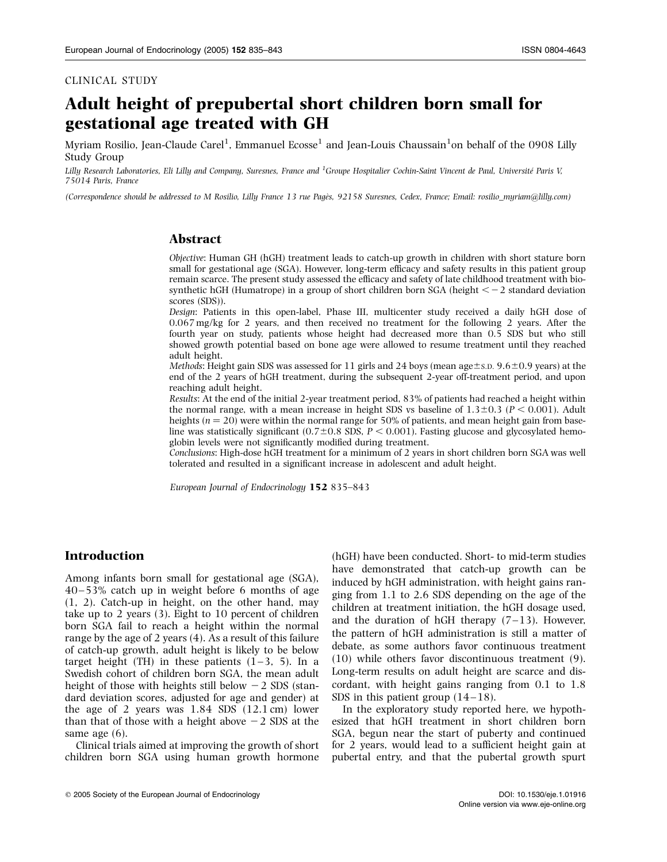## CLINICAL STUDY

# Adult height of prepubertal short children born small for gestational age treated with GH

Myriam Rosilio, Jean-Claude Carel<sup>1</sup>, Emmanuel Ecosse $^{\rm l}$  and Jean-Louis Chaussain $^{\rm l}$ on behalf of the 0908 Lilly Study Group

Lilly Research Laboratories, Eli Lilly and Company, Suresnes, France and <sup>1</sup>Groupe Hospitalier Cochin-Saint Vincent de Paul, Université Paris V, 75014 Paris, France

(Correspondence should be addressed to M Rosilio, Lilly France 13 rue Page`s, 92158 Suresnes, Cedex, France; Email: rosilio\_myriam@lilly.com)

# Abstract

Objective: Human GH (hGH) treatment leads to catch-up growth in children with short stature born small for gestational age (SGA). However, long-term efficacy and safety results in this patient group remain scarce. The present study assessed the efficacy and safety of late childhood treatment with biosynthetic hGH (Humatrope) in a group of short children born  $SGA$  (height  $\lt -2$  standard deviation scores (SDS)).

Design: Patients in this open-label, Phase III, multicenter study received a daily hGH dose of 0.067 mg/kg for 2 years, and then received no treatment for the following 2 years. After the fourth year on study, patients whose height had decreased more than 0.5 SDS but who still showed growth potential based on bone age were allowed to resume treatment until they reached adult height.

*Methods:* Height gain SDS was assessed for 11 girls and 24 boys (mean age $\pm$ s.D. 9.6 $\pm$ 0.9 years) at the end of the 2 years of hGH treatment, during the subsequent 2-year off-treatment period, and upon reaching adult height.

Results: At the end of the initial 2-year treatment period, 83% of patients had reached a height within the normal range, with a mean increase in height SDS vs baseline of  $1.3\pm0.3$  ( $P < 0.001$ ). Adult heights ( $n = 20$ ) were within the normal range for 50% of patients, and mean height gain from baseline was statistically significant  $(0.7\pm0.8$  SDS,  $P < 0.001$ ). Fasting glucose and glycosylated hemoglobin levels were not significantly modified during treatment.

Conclusions: High-dose hGH treatment for a minimum of 2 years in short children born SGA was well tolerated and resulted in a significant increase in adolescent and adult height.

European Journal of Endocrinology 152 835–843

# Introduction

Among infants born small for gestational age (SGA), 40–53% catch up in weight before 6 months of age (1, 2). Catch-up in height, on the other hand, may take up to 2 years (3). Eight to 10 percent of children born SGA fail to reach a height within the normal range by the age of 2 years (4). As a result of this failure of catch-up growth, adult height is likely to be below target height (TH) in these patients  $(1-3, 5)$ . In a Swedish cohort of children born SGA, the mean adult height of those with heights still below  $-2$  SDS (standard deviation scores, adjusted for age and gender) at the age of 2 years was  $1.84$  SDS  $(12.1 \text{ cm})$  lower than that of those with a height above  $-2$  SDS at the same age (6).

Clinical trials aimed at improving the growth of short children born SGA using human growth hormone

(hGH) have been conducted. Short- to mid-term studies have demonstrated that catch-up growth can be induced by hGH administration, with height gains ranging from 1.1 to 2.6 SDS depending on the age of the children at treatment initiation, the hGH dosage used, and the duration of hGH therapy  $(7-13)$ . However, the pattern of hGH administration is still a matter of debate, as some authors favor continuous treatment (10) while others favor discontinuous treatment (9). Long-term results on adult height are scarce and discordant, with height gains ranging from 0.1 to 1.8 SDS in this patient group  $(14-18)$ .

In the exploratory study reported here, we hypothesized that hGH treatment in short children born SGA, begun near the start of puberty and continued for 2 years, would lead to a sufficient height gain at pubertal entry, and that the pubertal growth spurt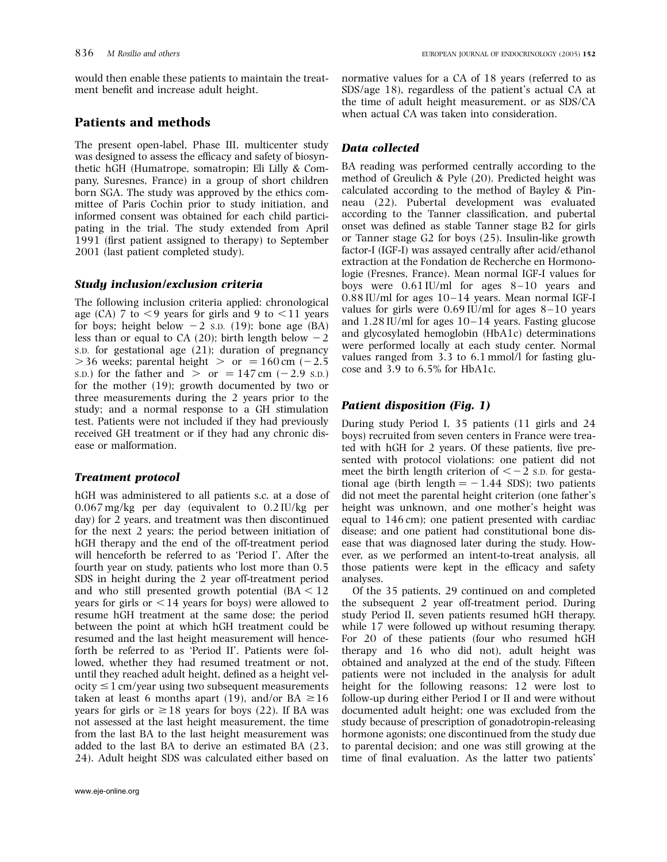would then enable these patients to maintain the treatment benefit and increase adult height.

## Patients and methods

The present open-label, Phase III, multicenter study was designed to assess the efficacy and safety of biosynthetic hGH (Humatrope, somatropin; Eli Lilly & Company, Suresnes, France) in a group of short children born SGA. The study was approved by the ethics committee of Paris Cochin prior to study initiation, and informed consent was obtained for each child participating in the trial. The study extended from April 1991 (first patient assigned to therapy) to September 2001 (last patient completed study).

## Study inclusion/exclusion criteria

The following inclusion criteria applied: chronological age (CA) 7 to  $\lt 9$  years for girls and 9 to  $\lt 11$  years for boys; height below  $-2$  s.p. (19); bone age (BA) less than or equal to CA (20); birth length below  $-2$ S.D. for gestational age (21); duration of pregnancy  $>$  36 weeks; parental height  $>$  or  $=$  160 cm (-2.5) s.p.) for the father and  $\ge$  or = 147 cm (-2.9 s.p.) for the mother (19); growth documented by two or three measurements during the 2 years prior to the study; and a normal response to a GH stimulation test. Patients were not included if they had previously received GH treatment or if they had any chronic disease or malformation.

## Treatment protocol

hGH was administered to all patients s.c. at a dose of 0.067 mg/kg per day (equivalent to 0.2 IU/kg per day) for 2 years, and treatment was then discontinued for the next 2 years; the period between initiation of hGH therapy and the end of the off-treatment period will henceforth be referred to as 'Period I'. After the fourth year on study, patients who lost more than 0.5 SDS in height during the 2 year off-treatment period and who still presented growth potential  $(BA < 12)$ years for girls or  $\leq$  14 years for boys) were allowed to resume hGH treatment at the same dose; the period between the point at which hGH treatment could be resumed and the last height measurement will henceforth be referred to as 'Period II'. Patients were followed, whether they had resumed treatment or not, until they reached adult height, defined as a height vel- $\text{ocity} \leq 1$  cm/year using two subsequent measurements taken at least 6 months apart (19), and/or BA  $\geq 16$ years for girls or  $\geq 18$  years for boys (22). If BA was not assessed at the last height measurement, the time from the last BA to the last height measurement was added to the last BA to derive an estimated BA (23, 24). Adult height SDS was calculated either based on

normative values for a CA of 18 years (referred to as SDS/age 18), regardless of the patient's actual CA at the time of adult height measurement, or as SDS/CA when actual CA was taken into consideration.

# Data collected

BA reading was performed centrally according to the method of Greulich & Pyle (20). Predicted height was calculated according to the method of Bayley & Pinneau (22). Pubertal development was evaluated according to the Tanner classification, and pubertal onset was defined as stable Tanner stage B2 for girls or Tanner stage G2 for boys (25). Insulin-like growth factor-I (IGF-I) was assayed centrally after acid/ethanol extraction at the Fondation de Recherche en Hormonologie (Fresnes, France). Mean normal IGF-I values for boys were  $0.61$  IU/ml for ages  $8-10$  years and 0.88 IU/ml for ages 10–14 years. Mean normal IGF-I values for girls were  $0.69$  IU/ml for ages  $8-10$  years and 1.28 IU/ml for ages 10–14 years. Fasting glucose and glycosylated hemoglobin (HbA1c) determinations were performed locally at each study center. Normal values ranged from 3.3 to 6.1 mmol/l for fasting glucose and 3.9 to 6.5% for HbA1c.

## Patient disposition (Fig. 1)

During study Period I, 35 patients (11 girls and 24 boys) recruited from seven centers in France were treated with hGH for 2 years. Of these patients, five presented with protocol violations: one patient did not meet the birth length criterion of  $<-2$  s.p. for gestational age (birth length  $= -1.44$  SDS); two patients did not meet the parental height criterion (one father's height was unknown, and one mother's height was equal to 146 cm); one patient presented with cardiac disease; and one patient had constitutional bone disease that was diagnosed later during the study. However, as we performed an intent-to-treat analysis, all those patients were kept in the efficacy and safety analyses.

Of the 35 patients, 29 continued on and completed the subsequent 2 year off-treatment period. During study Period II, seven patients resumed hGH therapy, while 17 were followed up without resuming therapy. For 20 of these patients (four who resumed hGH therapy and 16 who did not), adult height was obtained and analyzed at the end of the study. Fifteen patients were not included in the analysis for adult height for the following reasons: 12 were lost to follow-up during either Period I or II and were without documented adult height; one was excluded from the study because of prescription of gonadotropin-releasing hormone agonists; one discontinued from the study due to parental decision; and one was still growing at the time of final evaluation. As the latter two patients'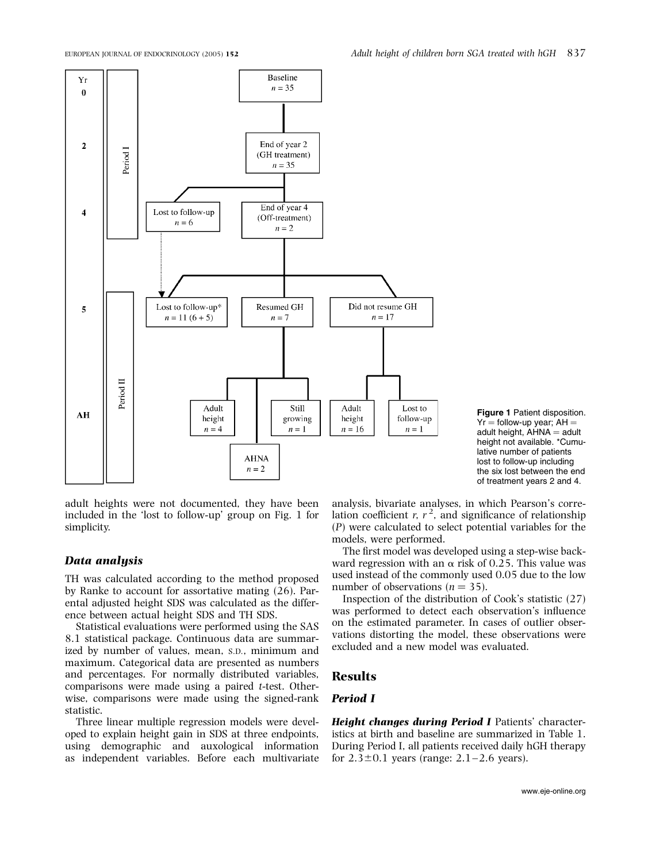

Figure 1 Patient disposition.  $Yr =$  follow-up year; AH = adult height,  $\overline{A}$ HNA = adult height not available. \*Cumulative number of patients lost to follow-up including the six lost between the end of treatment years 2 and 4.

adult heights were not documented, they have been included in the 'lost to follow-up' group on Fig. 1 for simplicity.

#### Data analysis

TH was calculated according to the method proposed by Ranke to account for assortative mating (26). Parental adjusted height SDS was calculated as the difference between actual height SDS and TH SDS.

Statistical evaluations were performed using the SAS 8.1 statistical package. Continuous data are summarized by number of values, mean, S.D., minimum and maximum. Categorical data are presented as numbers and percentages. For normally distributed variables, comparisons were made using a paired t-test. Otherwise, comparisons were made using the signed-rank statistic.

Three linear multiple regression models were developed to explain height gain in SDS at three endpoints, using demographic and auxological information as independent variables. Before each multivariate

analysis, bivariate analyses, in which Pearson's correlation coefficient r,  $r^2$ , and significance of relationship (P) were calculated to select potential variables for the models, were performed.

The first model was developed using a step-wise backward regression with an  $\alpha$  risk of 0.25. This value was used instead of the commonly used 0.05 due to the low number of observations ( $n = 35$ ).

Inspection of the distribution of Cook's statistic (27) was performed to detect each observation's influence on the estimated parameter. In cases of outlier observations distorting the model, these observations were excluded and a new model was evaluated.

## Results

# Period I

Height changes during Period I Patients' characteristics at birth and baseline are summarized in Table 1. During Period I, all patients received daily hGH therapy for  $2.3\pm0.1$  years (range:  $2.1 - 2.6$  years).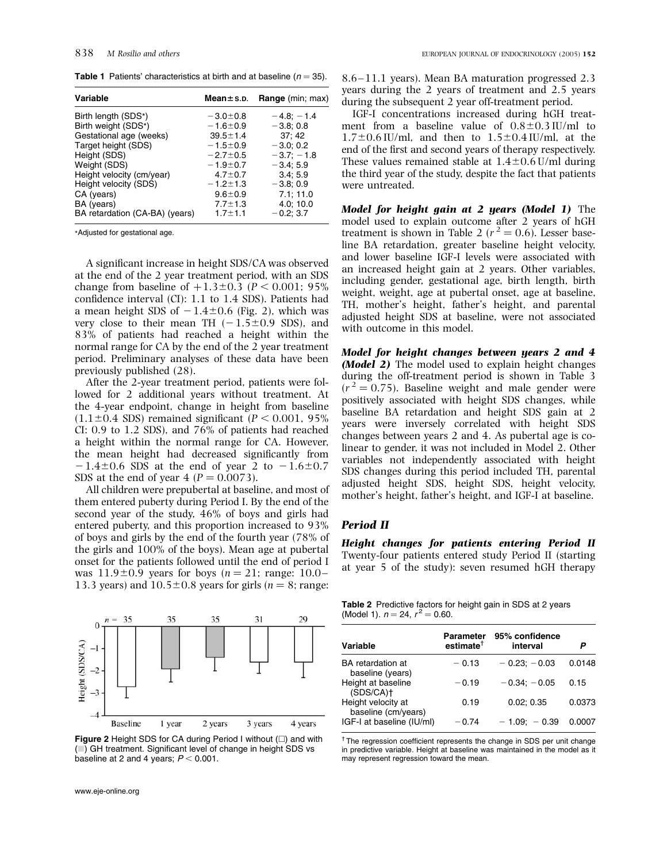**Table 1** Patients' characteristics at birth and at baseline ( $n = 35$ ).

| Variable                       | Mean $\pm$ s.p. | <b>Range</b> (min; max) |
|--------------------------------|-----------------|-------------------------|
| Birth length (SDS*)            | $-3.0 \pm 0.8$  | $-4.8$ ; $-1.4$         |
| Birth weight (SDS*)            | $-1.6 - 0.9$    | $-3.8;0.8$              |
| Gestational age (weeks)        | $39.5 \pm 1.4$  | 37:42                   |
| Target height (SDS)            | $-1.5 \pm 0.9$  | $-3.0;0.2$              |
| Height (SDS)                   | $-2.7 \pm 0.5$  | $-3.7: -1.8$            |
| Weight (SDS)                   | $-1.9 + 0.7$    | $-3.4; 5.9$             |
| Height velocity (cm/year)      | $4.7 \pm 0.7$   | 3.4:5.9                 |
| Height velocity (SDS)          | $-1.2 \pm 1.3$  | $-3.8;0.9$              |
| CA (years)                     | $9.6 \pm 0.9$   | 7.1; 11.0               |
| BA (years)                     | $7.7 \pm 1.3$   | 4.0; 10.0               |
| BA retardation (CA-BA) (years) | $1.7 + 1.1$     | $-0.2; 3.7$             |

\*Adjusted for gestational age.

A significant increase in height SDS/CA was observed at the end of the 2 year treatment period, with an SDS change from baseline of  $+1.3\pm0.3$  (P < 0.001; 95%) confidence interval (CI): 1.1 to 1.4 SDS). Patients had a mean height SDS of  $-1.4\pm 0.6$  (Fig. 2), which was very close to their mean TH  $(-1.5\pm0.9$  SDS), and 83% of patients had reached a height within the normal range for CA by the end of the 2 year treatment period. Preliminary analyses of these data have been previously published (28).

After the 2-year treatment period, patients were followed for 2 additional years without treatment. At the 4-year endpoint, change in height from baseline  $(1.1\pm0.4$  SDS) remained significant (P < 0.001, 95%) CI: 0.9 to 1.2 SDS), and 76% of patients had reached a height within the normal range for CA. However, the mean height had decreased significantly from  $-1.4\pm0.6$  SDS at the end of year 2 to  $-1.6\pm0.7$ SDS at the end of year  $4 (P = 0.0073)$ .

All children were prepubertal at baseline, and most of them entered puberty during Period I. By the end of the second year of the study, 46% of boys and girls had entered puberty, and this proportion increased to 93% of boys and girls by the end of the fourth year (78% of the girls and 100% of the boys). Mean age at pubertal onset for the patients followed until the end of period I was  $11.9\pm 0.9$  years for boys (n = 21; range: 10.0– 13.3 years) and  $10.5\pm0.8$  years for girls (n = 8; range:



Figure 2 Height SDS for CA during Period I without  $(\square)$  and with ( $\Box$ ) GH treatment. Significant level of change in height SDS vs baseline at 2 and 4 years;  $P < 0.001$ .

8.6 –11.1 years). Mean BA maturation progressed 2.3 years during the 2 years of treatment and 2.5 years during the subsequent 2 year off-treatment period.

IGF-I concentrations increased during hGH treatment from a baseline value of  $0.8\pm0.3$  IU/ml to  $1.7\pm0.6$  IU/ml, and then to  $1.5\pm0.4$  IU/ml, at the end of the first and second years of therapy respectively. These values remained stable at  $1.4\pm0.6$  U/ml during the third year of the study, despite the fact that patients were untreated.

Model for height gain at 2 years (Model 1) The model used to explain outcome after 2 years of hGH treatment is shown in Table 2 ( $r^2 = 0.6$ ). Lesser baseline BA retardation, greater baseline height velocity, and lower baseline IGF-I levels were associated with an increased height gain at 2 years. Other variables, including gender, gestational age, birth length, birth weight, weight, age at pubertal onset, age at baseline, TH, mother's height, father's height, and parental adjusted height SDS at baseline, were not associated with outcome in this model.

Model for height changes between years 2 and 4 (**Model 2**) The model used to explain height changes during the off-treatment period is shown in Table 3  $(r^2 = 0.75)$ . Baseline weight and male gender were positively associated with height SDS changes, while baseline BA retardation and height SDS gain at 2 years were inversely correlated with height SDS changes between years 2 and 4. As pubertal age is colinear to gender, it was not included in Model 2. Other variables not independently associated with height SDS changes during this period included TH, parental adjusted height SDS, height SDS, height velocity, mother's height, father's height, and IGF-I at baseline.

#### Period II

Height changes for patients entering Period II Twenty-four patients entered study Period II (starting at year 5 of the study): seven resumed hGH therapy

Table 2 Predictive factors for height gain in SDS at 2 years (Model 1).  $n = 24$ ,  $r^2 = 0.60$ .

| Variable                                  | Parameter<br>$estimate^{\dagger}$ | 95% confidence<br>interval | P      |
|-------------------------------------------|-----------------------------------|----------------------------|--------|
| BA retardation at<br>baseline (years)     | $-0.13$                           | $-0.23; -0.03$             | 0.0148 |
| Height at baseline<br>$(SDS/CA)$ †        | $-0.19$                           | $-0.34: -0.05$             | 0.15   |
| Height velocity at<br>baseline (cm/years) | 0.19                              | 0.02:0.35                  | 0.0373 |
| IGF-I at baseline (IU/ml)                 | $-0.74$                           | $-1.09: -0.39$             | 0.0007 |

 $<sup>†</sup>$  The regression coefficient represents the change in SDS per unit change</sup> in predictive variable. Height at baseline was maintained in the model as it may represent regression toward the mean.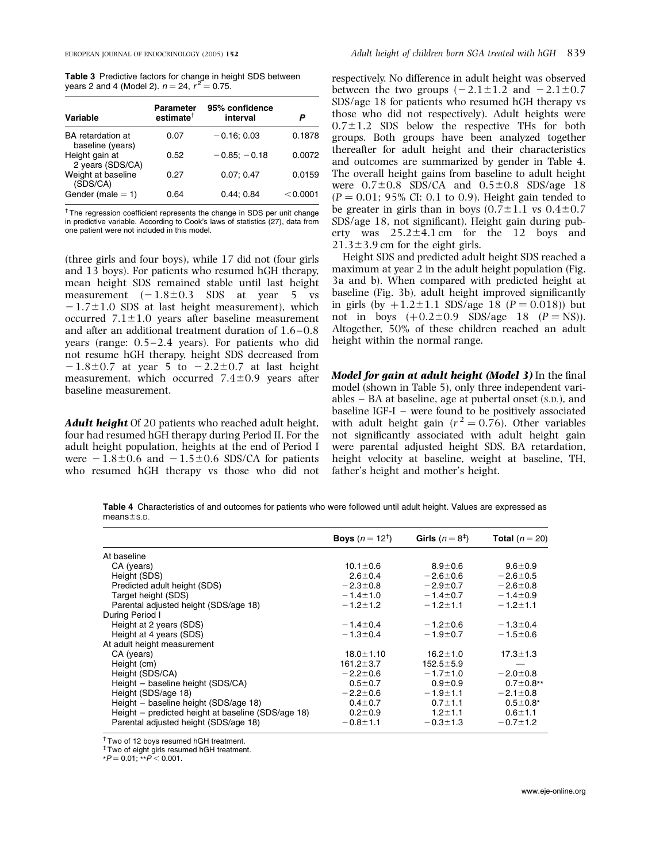| <b>Table 3</b> Predictive factors for change in height SDS between |  |  |
|--------------------------------------------------------------------|--|--|
| years 2 and 4 (Model 2). $n = 24$ , $r^2 = 0.75$ .                 |  |  |

| Variable                              | <b>Parameter</b><br>$estimate^{\dagger}$ | 95% confidence<br>interval | P        |
|---------------------------------------|------------------------------------------|----------------------------|----------|
| BA retardation at<br>baseline (years) | 0.07                                     | $-0.16; 0.03$              | 0.1878   |
| Height gain at<br>2 years (SDS/CA)    | 0.52                                     | $-0.85:-0.18$              | 0.0072   |
| Weight at baseline<br>(SDS/CA)        | 0.27                                     | 0.07; 0.47                 | 0.0159   |
| Gender (male $= 1$ )                  | 0.64                                     | 0.44:0.84                  | < 0.0001 |

<sup>†</sup> The regression coefficient represents the change in SDS per unit change in predictive variable. According to Cook's laws of statistics (27), data from one patient were not included in this model.

(three girls and four boys), while 17 did not (four girls and 13 boys). For patients who resumed hGH therapy, mean height SDS remained stable until last height measurement  $(-1.8\pm0.3$  SDS at year 5 vs  $-1.7\pm1.0$  SDS at last height measurement), which occurred  $7.1\pm1.0$  years after baseline measurement and after an additional treatment duration of 1.6 –0.8 years (range:  $0.5-2.4$  years). For patients who did not resume hGH therapy, height SDS decreased from  $-1.8\pm0.7$  at year 5 to  $-2.2\pm0.7$  at last height measurement, which occurred  $7.4\pm0.9$  years after baseline measurement.

Adult height Of 20 patients who reached adult height, four had resumed hGH therapy during Period II. For the adult height population, heights at the end of Period I were  $-1.8\pm0.6$  and  $-1.5\pm0.6$  SDS/CA for patients who resumed hGH therapy vs those who did not respectively. No difference in adult height was observed between the two groups  $(-2.1 \pm 1.2$  and  $-2.1 \pm 0.7$ SDS/age 18 for patients who resumed hGH therapy vs those who did not respectively). Adult heights were  $0.7\pm1.2$  SDS below the respective THs for both groups. Both groups have been analyzed together thereafter for adult height and their characteristics and outcomes are summarized by gender in Table 4. The overall height gains from baseline to adult height were  $0.7\pm0.8$  SDS/CA and  $0.5\pm0.8$  SDS/age 18  $(P = 0.01; 95\% \text{ CI: } 0.1 \text{ to } 0.9)$ . Height gain tended to be greater in girls than in boys  $(0.7\pm1.1 \text{ vs } 0.4\pm0.7$ SDS/age 18, not significant). Height gain during puberty was  $25.2 \pm 4.1$  cm for the 12 boys and  $21.3\pm3.9$  cm for the eight girls.

Height SDS and predicted adult height SDS reached a maximum at year 2 in the adult height population (Fig. 3a and b). When compared with predicted height at baseline (Fig. 3b), adult height improved significantly in girls (by  $+1.2 \pm 1.1$  SDS/age 18 (P = 0.018)) but not in boys  $(+0.2 \pm 0.9 \text{ SDS/age} 18 \text{ (P = NS)}).$ Altogether, 50% of these children reached an adult height within the normal range.

Model for gain at adult height (Model 3) In the final model (shown in Table 5), only three independent variables – BA at baseline, age at pubertal onset (S.D.), and baseline IGF-I – were found to be positively associated with adult height gain ( $r^2 = 0.76$ ). Other variables not significantly associated with adult height gain were parental adjusted height SDS, BA retardation, height velocity at baseline, weight at baseline, TH, father's height and mother's height.

Table 4 Characteristics of and outcomes for patients who were followed until adult height. Values are expressed as  $means \pm s.p.$ 

|                                                    | <b>Boys</b> $(n = 12^{T})$ | Girls $(n=8^{\ddagger})$ | Total $(n = 20)$ |
|----------------------------------------------------|----------------------------|--------------------------|------------------|
| At baseline                                        |                            |                          |                  |
| CA (years)                                         | $10.1 \pm 0.6$             | $8.9 \pm 0.6$            | $9.6 \pm 0.9$    |
| Height (SDS)                                       | $2.6 \pm 0.4$              | $-2.6 \pm 0.6$           | $-2.6 \pm 0.5$   |
| Predicted adult height (SDS)                       | $-2.3 \pm 0.8$             | $-2.9 \pm 0.7$           | $-2.6 \pm 0.8$   |
| Target height (SDS)                                | $-1.4 \pm 1.0$             | $-1.4 \pm 0.7$           | $-1.4 \pm 0.9$   |
| Parental adjusted height (SDS/age 18)              | $-1.2 \pm 1.2$             | $-1.2 \pm 1.1$           | $-1.2 \pm 1.1$   |
| During Period I                                    |                            |                          |                  |
| Height at 2 years (SDS)                            | $-1.4 \pm 0.4$             | $-1.2 \pm 0.6$           | $-1.3 \pm 0.4$   |
| Height at 4 years (SDS)                            | $-1.3 \pm 0.4$             | $-1.9 + 0.7$             | $-1.5 \pm 0.6$   |
| At adult height measurement                        |                            |                          |                  |
| CA (years)                                         | $18.0 \pm 1.10$            | $16.2 \pm 1.0$           | $17.3 \pm 1.3$   |
| Height (cm)                                        | $161.2 \pm 3.7$            | $152.5 \pm 5.9$          |                  |
| Height (SDS/CA)                                    | $-2.2 \pm 0.6$             | $-1.7 \pm 1.0$           | $-2.0 \pm 0.8$   |
| Height - baseline height (SDS/CA)                  | $0.5 + 0.7$                | $0.9 + 0.9$              | $0.7 \pm 0.8**$  |
| Height (SDS/age 18)                                | $-2.2 \pm 0.6$             | $-1.9 \pm 1.1$           | $-2.1 \pm 0.8$   |
| Height - baseline height (SDS/age 18)              | $0.4 \pm 0.7$              | $0.7 \pm 1.1$            | $0.5 \pm 0.8*$   |
| Height – predicted height at baseline (SDS/age 18) | $0.2 \pm 0.9$              | $1.2 \pm 1.1$            | $0.6 + 1.1$      |
| Parental adjusted height (SDS/age 18)              | $-0.8 \pm 1.1$             | $-0.3 \pm 1.3$           | $-0.7 \pm 1.2$   |

† Two of 12 boys resumed hGH treatment.

‡ Two of eight girls resumed hGH treatment.

 $*P = 0.01; *P < 0.001.$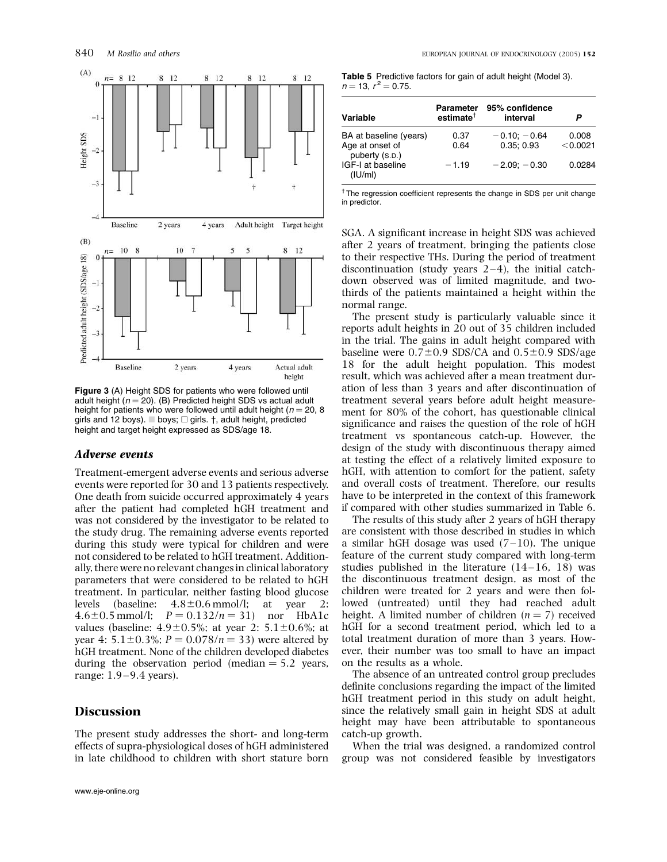

Figure 3 (A) Height SDS for patients who were followed until adult height  $(n = 20)$ . (B) Predicted height SDS vs actual adult height for patients who were followed until adult height ( $n = 20, 8$ ) girls and 12 boys).  $\Box$  boys;  $\Box$  girls. †, adult height, predicted height and target height expressed as SDS/age 18.

## Adverse events

Treatment-emergent adverse events and serious adverse events were reported for 30 and 13 patients respectively. One death from suicide occurred approximately 4 years after the patient had completed hGH treatment and was not considered by the investigator to be related to the study drug. The remaining adverse events reported during this study were typical for children and were not considered to be related to hGH treatment. Additionally, there were no relevant changes in clinical laboratory parameters that were considered to be related to hGH treatment. In particular, neither fasting blood glucose levels (baseline:  $4.8\pm0.6$  mmol/l; at year 2: 4.6 $\pm$ 0.5 mmol/l;  $P = 0.132/n = 31$ ) nor HbA1c values (baseline:  $4.9\pm0.5$ %; at year 2:  $5.1\pm0.6$ %; at year 4:  $5.1 \pm 0.3\%$ ;  $P = 0.078/n = 33$ ) were altered by hGH treatment. None of the children developed diabetes during the observation period (median  $= 5.2$  years, range: 1.9–9.4 years).

# Discussion

The present study addresses the short- and long-term effects of supra-physiological doses of hGH administered in late childhood to children with short stature born

Table 5 Predictive factors for gain of adult height (Model 3).  $n = 13$ ,  $r^2 = 0.75$ .

| Variable                                                    | Parameter<br>$estimate^{\dagger}$ | 95% confidence<br>interval  | P                 |
|-------------------------------------------------------------|-----------------------------------|-----------------------------|-------------------|
| BA at baseline (years)<br>Age at onset of<br>puberty (S.D.) | 0.37<br>0.64                      | $-0.10; -0.64$<br>0.35:0.93 | 0.008<br>< 0.0021 |
| IGF-I at baseline<br>(IU/ml)                                | $-1.19$                           | $-2.09; -0.30$              | 0.0284            |

<sup>†</sup> The regression coefficient represents the change in SDS per unit change in predictor.

SGA. A significant increase in height SDS was achieved after 2 years of treatment, bringing the patients close to their respective THs. During the period of treatment discontinuation (study years  $2-4$ ), the initial catchdown observed was of limited magnitude, and twothirds of the patients maintained a height within the normal range.

The present study is particularly valuable since it reports adult heights in 20 out of 35 children included in the trial. The gains in adult height compared with baseline were  $0.7\pm0.9$  SDS/CA and  $0.5\pm0.9$  SDS/age 18 for the adult height population. This modest result, which was achieved after a mean treatment duration of less than 3 years and after discontinuation of treatment several years before adult height measurement for 80% of the cohort, has questionable clinical significance and raises the question of the role of hGH treatment vs spontaneous catch-up. However, the design of the study with discontinuous therapy aimed at testing the effect of a relatively limited exposure to hGH, with attention to comfort for the patient, safety and overall costs of treatment. Therefore, our results have to be interpreted in the context of this framework if compared with other studies summarized in Table 6.

The results of this study after 2 years of hGH therapy are consistent with those described in studies in which a similar hGH dosage was used  $(7-10)$ . The unique feature of the current study compared with long-term studies published in the literature  $(14-16, 18)$  was the discontinuous treatment design, as most of the children were treated for 2 years and were then followed (untreated) until they had reached adult height. A limited number of children  $(n = 7)$  received hGH for a second treatment period, which led to a total treatment duration of more than 3 years. However, their number was too small to have an impact on the results as a whole.

The absence of an untreated control group precludes definite conclusions regarding the impact of the limited hGH treatment period in this study on adult height, since the relatively small gain in height SDS at adult height may have been attributable to spontaneous catch-up growth.

When the trial was designed, a randomized control group was not considered feasible by investigators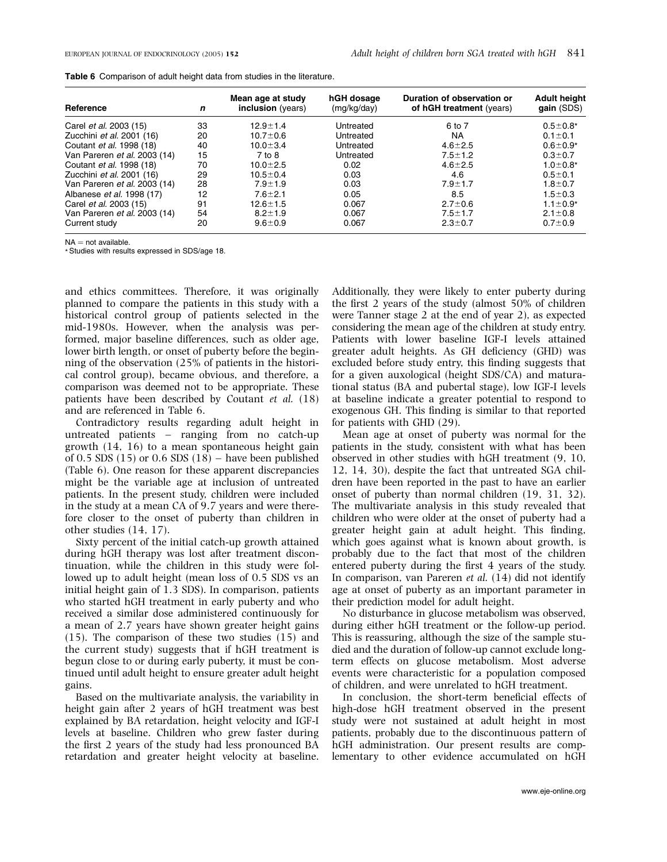| Table 6 Comparison of adult height data from studies in the literature. |  |  |
|-------------------------------------------------------------------------|--|--|
|                                                                         |  |  |

| Reference                        | n  | Mean age at study<br>inclusion (years) | hGH dosage<br>(mg/kg/day) | Duration of observation or<br>of hGH treatment (years) | <b>Adult height</b><br>gain (SDS) |
|----------------------------------|----|----------------------------------------|---------------------------|--------------------------------------------------------|-----------------------------------|
| Carel <i>et al.</i> 2003 (15)    | 33 | $12.9 \pm 1.4$                         | Untreated                 | 6 to 7                                                 | $0.5 \pm 0.8*$                    |
| Zucchini et al. 2001 (16)        | 20 | $10.7 \pm 0.6$                         | Untreated                 | <b>NA</b>                                              | $0.1 \pm 0.1$                     |
| Coutant <i>et al.</i> 1998 (18)  | 40 | $10.0 \pm 3.4$                         | Untreated                 | $4.6 \pm 2.5$                                          | $0.6 \pm 0.9*$                    |
| Van Pareren et al. 2003 (14)     | 15 | 7 to 8                                 | Untreated                 | $7.5 \pm 1.2$                                          | $0.3 + 0.7$                       |
| Coutant et al. 1998 (18)         | 70 | $10.0 + 2.5$                           | 0.02                      | $4.6 \pm 2.5$                                          | $1.0 \pm 0.8*$                    |
| Zucchini <i>et al.</i> 2001 (16) | 29 | $10.5 \pm 0.4$                         | 0.03                      | 4.6                                                    | $0.5 \pm 0.1$                     |
| Van Pareren et al. 2003 (14)     | 28 | $7.9 \pm 1.9$                          | 0.03                      | $7.9 \pm 1.7$                                          | $1.8 + 0.7$                       |
| Albanese <i>et al.</i> 1998 (17) | 12 | $7.6 \pm 2.1$                          | 0.05                      | 8.5                                                    | $1.5 \pm 0.3$                     |
| Carel et al. 2003 (15)           | 91 | $12.6 \pm 1.5$                         | 0.067                     | $2.7 \pm 0.6$                                          | $1.1 \pm 0.9*$                    |
| Van Pareren et al. 2003 (14)     | 54 | $8.2 \pm 1.9$                          | 0.067                     | $7.5 \pm 1.7$                                          | $2.1 \pm 0.8$                     |
| Current study                    | 20 | $9.6 \pm 0.9$                          | 0.067                     | $2.3 \pm 0.7$                                          | $0.7 + 0.9$                       |

 $NA = not available.$ 

\* Studies with results expressed in SDS/age 18.

and ethics committees. Therefore, it was originally planned to compare the patients in this study with a historical control group of patients selected in the mid-1980s. However, when the analysis was performed, major baseline differences, such as older age, lower birth length, or onset of puberty before the beginning of the observation (25% of patients in the historical control group), became obvious, and therefore, a comparison was deemed not to be appropriate. These patients have been described by Coutant et al. (18) and are referenced in Table 6.

Contradictory results regarding adult height in untreated patients – ranging from no catch-up growth (14, 16) to a mean spontaneous height gain of 0.5 SDS  $(15)$  or 0.6 SDS  $(18)$  – have been published (Table 6). One reason for these apparent discrepancies might be the variable age at inclusion of untreated patients. In the present study, children were included in the study at a mean CA of 9.7 years and were therefore closer to the onset of puberty than children in other studies (14, 17).

Sixty percent of the initial catch-up growth attained during hGH therapy was lost after treatment discontinuation, while the children in this study were followed up to adult height (mean loss of 0.5 SDS vs an initial height gain of 1.3 SDS). In comparison, patients who started hGH treatment in early puberty and who received a similar dose administered continuously for a mean of 2.7 years have shown greater height gains (15). The comparison of these two studies (15) and the current study) suggests that if hGH treatment is begun close to or during early puberty, it must be continued until adult height to ensure greater adult height gains.

Based on the multivariate analysis, the variability in height gain after 2 years of hGH treatment was best explained by BA retardation, height velocity and IGF-I levels at baseline. Children who grew faster during the first 2 years of the study had less pronounced BA retardation and greater height velocity at baseline. Additionally, they were likely to enter puberty during the first 2 years of the study (almost 50% of children were Tanner stage 2 at the end of year 2), as expected considering the mean age of the children at study entry. Patients with lower baseline IGF-I levels attained greater adult heights. As GH deficiency (GHD) was excluded before study entry, this finding suggests that for a given auxological (height SDS/CA) and maturational status (BA and pubertal stage), low IGF-I levels at baseline indicate a greater potential to respond to exogenous GH. This finding is similar to that reported for patients with GHD (29).

Mean age at onset of puberty was normal for the patients in the study, consistent with what has been observed in other studies with hGH treatment (9, 10, 12, 14, 30), despite the fact that untreated SGA children have been reported in the past to have an earlier onset of puberty than normal children (19, 31, 32). The multivariate analysis in this study revealed that children who were older at the onset of puberty had a greater height gain at adult height. This finding, which goes against what is known about growth, is probably due to the fact that most of the children entered puberty during the first 4 years of the study. In comparison, van Pareren et al. (14) did not identify age at onset of puberty as an important parameter in their prediction model for adult height.

No disturbance in glucose metabolism was observed, during either hGH treatment or the follow-up period. This is reassuring, although the size of the sample studied and the duration of follow-up cannot exclude longterm effects on glucose metabolism. Most adverse events were characteristic for a population composed of children, and were unrelated to hGH treatment.

In conclusion, the short-term beneficial effects of high-dose hGH treatment observed in the present study were not sustained at adult height in most patients, probably due to the discontinuous pattern of hGH administration. Our present results are complementary to other evidence accumulated on hGH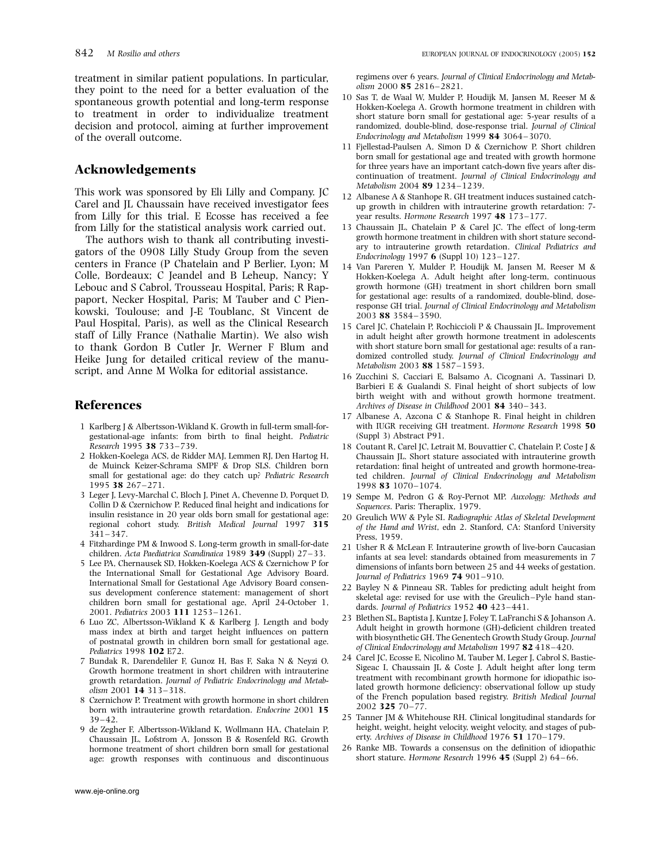treatment in similar patient populations. In particular, they point to the need for a better evaluation of the spontaneous growth potential and long-term response to treatment in order to individualize treatment decision and protocol, aiming at further improvement of the overall outcome.

# Acknowledgements

This work was sponsored by Eli Lilly and Company. JC Carel and JL Chaussain have received investigator fees from Lilly for this trial. E Ecosse has received a fee from Lilly for the statistical analysis work carried out.

The authors wish to thank all contributing investigators of the 0908 Lilly Study Group from the seven centers in France (P Chatelain and P Berlier, Lyon; M Colle, Bordeaux; C Jeandel and B Leheup, Nancy; Y Lebouc and S Cabrol, Trousseau Hospital, Paris; R Rappaport, Necker Hospital, Paris; M Tauber and C Pienkowski, Toulouse; and J-E Toublanc, St Vincent de Paul Hospital, Paris), as well as the Clinical Research staff of Lilly France (Nathalie Martin). We also wish to thank Gordon B Cutler Jr, Werner F Blum and Heike Jung for detailed critical review of the manuscript, and Anne M Wolka for editorial assistance.

## References

- 1 Karlberg J & Albertsson-Wikland K. Growth in full-term small-forgestational-age infants: from birth to final height. Pediatric Research 1995 38 733–739.
- 2 Hokken-Koelega ACS, de Ridder MAJ, Lemmen RJ, Den Hartog H, de Muinck Keizer-Schrama SMPF & Drop SLS. Children born small for gestational age: do they catch up? Pediatric Research 1995 38 267– 271.
- 3 Leger J, Levy-Marchal C, Bloch J, Pinet A, Chevenne D, Porquet D, Collin D & Czernichow P. Reduced final height and indications for insulin resistance in 20 year olds born small for gestational age: regional cohort study. British Medical Journal 1997 315 341–347.
- 4 Fitzhardinge PM & Inwood S. Long-term growth in small-for-date children. Acta Paediatrica Scandinaica 1989 349 (Suppl) 27–33.
- 5 Lee PA, Chernausek SD, Hokken-Koelega ACS & Czernichow P for the International Small for Gestational Age Advisory Board. International Small for Gestational Age Advisory Board consensus development conference statement: management of short children born small for gestational age, April 24-October 1, 2001. Pediatrics 2003 111 1253–1261.
- 6 Luo ZC, Albertsson-Wikland K & Karlberg J. Length and body mass index at birth and target height influences on pattern of postnatal growth in children born small for gestational age. Pediatrics 1998 102 E72.
- 7 Bundak R, Darendeliler F, Gunoz H, Bas F, Saka N & Neyzi O. Growth hormone treatment in short children with intrauterine growth retardation. Journal of Pediatric Endocrinology and Metabolism 2001 14 313–318.
- 8 Czernichow P. Treatment with growth hormone in short children born with intrauterine growth retardation. Endocrine 2001 15  $39 - 42$ .
- 9 de Zegher F, Albertsson-Wikland K, Wollmann HA, Chatelain P, Chaussain JL, Lofstrom A, Jonsson B & Rosenfeld RG. Growth hormone treatment of short children born small for gestational age: growth responses with continuous and discontinuous

regimens over 6 years. Journal of Clinical Endocrinology and Metabolism 2000 85 2816– 2821.

- 10 Sas T, de Waal W, Mulder P, Houdijk M, Jansen M, Reeser M & Hokken-Koelega A. Growth hormone treatment in children with short stature born small for gestational age: 5-year results of a randomized, double-blind, dose-response trial. Journal of Clinical Endocrinology and Metabolism 1999 84 3064–3070.
- 11 Fjellestad-Paulsen A, Simon D & Czernichow P. Short children born small for gestational age and treated with growth hormone for three years have an important catch-down five years after discontinuation of treatment. Journal of Clinical Endocrinology and Metabolism 2004 89 1234–1239.
- 12 Albanese A & Stanhope R. GH treatment induces sustained catchup growth in children with intrauterine growth retardation: 7 year results. Hormone Research 1997 48 173–177.
- 13 Chaussain JL, Chatelain P & Carel JC. The effect of long-term growth hormone treatment in children with short stature secondary to intrauterine growth retardation. Clinical Pediatrics and Endocrinology 1997 6 (Suppl 10) 123–127.
- 14 Van Pareren Y, Mulder P, Houdijk M, Jansen M, Reeser M & Hokken-Koelega A. Adult height after long-term, continuous growth hormone (GH) treatment in short children born small for gestational age: results of a randomized, double-blind, doseresponse GH trial. Journal of Clinical Endocrinology and Metabolism 2003 88 3584–3590.
- 15 Carel JC, Chatelain P, Rochiccioli P & Chaussain JL. Improvement in adult height after growth hormone treatment in adolescents with short stature born small for gestational age: results of a randomized controlled study. Journal of Clinical Endocrinology and Metabolism 2003 88 1587–1593.
- 16 Zucchini S, Cacciari E, Balsamo A, Cicognani A, Tassinari D, Barbieri E & Gualandi S. Final height of short subjects of low birth weight with and without growth hormone treatment. Archives of Disease in Childhood 2001 84 340–343.
- 17 Albanese A, Azcona C & Stanhope R. Final height in children with IUGR receiving GH treatment. Hormone Research 1998 50 (Suppl 3) Abstract P91.
- 18 Coutant R, Carel JC, Letrait M, Bouvattier C, Chatelain P, Coste J & Chaussain JL. Short stature associated with intrauterine growth retardation: final height of untreated and growth hormone-treated children. Journal of Clinical Endocrinology and Metabolism 1998 83 1070–1074.
- 19 Sempe M, Pedron G & Roy-Pernot MP. Auxology: Methods and Sequences. Paris: Theraplix, 1979.
- 20 Greulich WW & Pyle SI. Radiographic Atlas of Skeletal Development of the Hand and Wrist, edn 2. Stanford, CA: Stanford University Press, 1959.
- 21 Usher R & McLean F. Intrauterine growth of live-born Caucasian infants at sea level: standards obtained from measurements in 7 dimensions of infants born between 25 and 44 weeks of gestation. Journal of Pediatrics 1969 74 901–910.
- 22 Bayley N & Pinneau SR. Tables for predicting adult height from skeletal age: revised for use with the Greulich– Pyle hand standards. Journal of Pediatrics 1952 40 423–441.
- 23 Blethen SL, Baptista J, Kuntze J, Foley T, LaFranchi S & Johanson A. Adult height in growth hormone (GH)-deficient children treated with biosynthetic GH. The Genentech Growth Study Group. Journal of Clinical Endocrinology and Metabolism 1997 82 418–420.
- 24 Carel JC, Ecosse E, Nicolino M, Tauber M, Leger J, Cabrol S, Bastie-Sigeac I, Chaussain JL & Coste J. Adult height after long term treatment with recombinant growth hormone for idiopathic isolated growth hormone deficiency: observational follow up study of the French population based registry. British Medical Journal 2002 325 70– 77.
- 25 Tanner JM & Whitehouse RH. Clinical longitudinal standards for height, weight, height velocity, weight velocity, and stages of puberty. Archives of Disease in Childhood 1976 51 170–179.
- 26 Ranke MB. Towards a consensus on the definition of idiopathic short stature. Hormone Research 1996 45 (Suppl 2) 64-66.